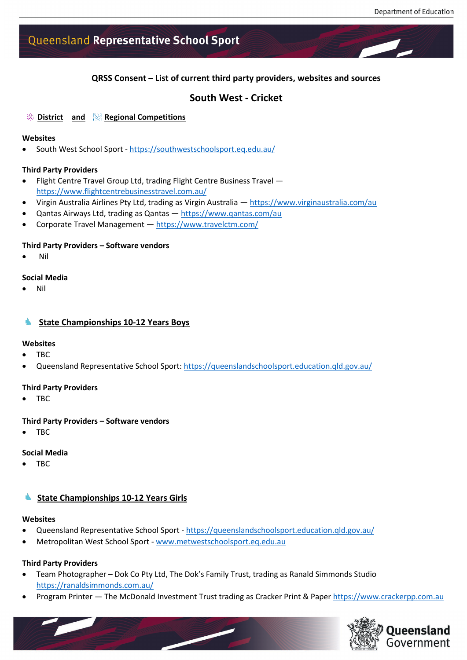### **QRSS Consent – List of current third party providers, websites and sources**

## **South West - Cricket**

#### **District and Regional Competitions**

#### **Websites**

• South West School Sport - <https://southwestschoolsport.eq.edu.au/>

#### **Third Party Providers**

- Flight Centre Travel Group Ltd, trading Flight Centre Business Travel <https://www.flightcentrebusinesstravel.com.au/>
- Virgin Australia Airlines Pty Ltd, trading as Virgin Australia <https://www.virginaustralia.com/au>
- Qantas Airways Ltd, trading as Qantas <https://www.qantas.com/au>
- Corporate Travel Management <https://www.travelctm.com/>

#### **Third Party Providers – Software vendors**

• Nil

#### **Social Media**

• Nil

#### **State Championships 10-12 Years Boys**

#### **Websites**

- TBC
- Queensland Representative School Sport:<https://queenslandschoolsport.education.qld.gov.au/>

#### **Third Party Providers**

• TBC

#### **Third Party Providers – Software vendors**

• TBC

#### **Social Media**

• TBC

#### **State Championships 10-12 Years Girls**

#### **Websites**

- Queensland Representative School Sport <https://queenslandschoolsport.education.qld.gov.au/>
- Metropolitan West School Sport [www.metwestschoolsport.eq.edu.au](http://www.metwestschoolsport.eq.edu.au/)

#### **Third Party Providers**

- Team Photographer Dok Co Pty Ltd, The Dok's Family Trust, trading as Ranald Simmonds Studio <https://ranaldsimmonds.com.au/>
- Program Printer The McDonald Investment Trust trading as Cracker Print & Pape[r https://www.crackerpp.com.au](https://www.crackerpp.com.au/)

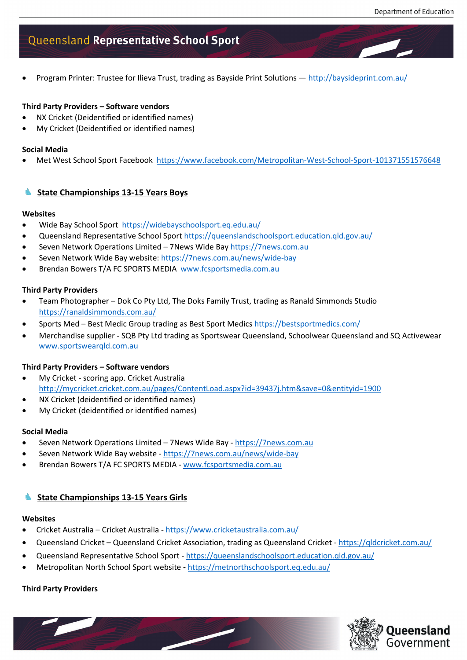• Program Printer: Trustee for Ilieva Trust, trading as Bayside Print Solutions — <http://baysideprint.com.au/>

#### **Third Party Providers – Software vendors**

- NX Cricket (Deidentified or identified names)
- My Cricket (Deidentified or identified names)

#### **Social Media**

• Met West School Sport Facebook<https://www.facebook.com/Metropolitan-West-School-Sport-101371551576648>

## **State Championships 13-15 Years Boys**

#### **Websites**

- Wide Bay School Sport<https://widebayschoolsport.eq.edu.au/>
- Queensland Representative School Spor[t https://queenslandschoolsport.education.qld.gov.au/](https://queenslandschoolsport.education.qld.gov.au/)
- Seven Network Operations Limited 7News Wide Bay [https://7news.com.au](https://7news.com.au/)
- Seven Network Wide Bay website: [https://7news.com.au/news/wide-bay](https://aus01.safelinks.protection.outlook.com/?url=https%3A%2F%2F7news.com.au%2Fnews%2Fwide-bay&data=04%7C01%7CEHalliday%40Seven.com.au%7C763608fda34946c0640808d9e76b72f5%7Cb359291241554399b790752c894d2935%7C0%7C0%7C637795270942528815%7CUnknown%7CTWFpbGZsb3d8eyJWIjoiMC4wLjAwMDAiLCJQIjoiV2luMzIiLCJBTiI6Ik1haWwiLCJXVCI6Mn0%3D%7C3000&sdata=uCDcI9vZuaJfZhVs5QRCvNDsOpIeBUjKOssie8P7QLw%3D&reserved=0)
- Brendan Bowers T/A FC SPORTS MEDIA [www.fcsportsmedia.com.au](http://www.fcsportsmedia.com.au/)

#### **Third Party Providers**

- Team Photographer Dok Co Pty Ltd, The Doks Family Trust, trading as Ranald Simmonds Studio <https://ranaldsimmonds.com.au/>
- Sports Med Best Medic Group trading as Best Sport Medics<https://bestsportmedics.com/>
- Merchandise supplier SQB Pty Ltd trading as Sportswear Queensland, Schoolwear Queensland and SQ Activewear [www.sportswearqld.com.au](http://www.sportswearqld.com.au/)

#### **Third Party Providers – Software vendors**

- My Cricket scoring app. Cricket Australia <http://mycricket.cricket.com.au/pages/ContentLoad.aspx?id=39437j.htm&save=0&entityid=1900>
- NX Cricket (deidentified or identified names)
- My Cricket (deidentified or identified names)

#### **Social Media**

- Seven Network Operations Limited 7News Wide Bay [https://7news.com.au](https://7news.com.au/)
- Seven Network Wide Bay website [https://7news.com.au/news/wide-bay](https://aus01.safelinks.protection.outlook.com/?url=https%3A%2F%2F7news.com.au%2Fnews%2Fwide-bay&data=04%7C01%7CEHalliday%40Seven.com.au%7C763608fda34946c0640808d9e76b72f5%7Cb359291241554399b790752c894d2935%7C0%7C0%7C637795270942528815%7CUnknown%7CTWFpbGZsb3d8eyJWIjoiMC4wLjAwMDAiLCJQIjoiV2luMzIiLCJBTiI6Ik1haWwiLCJXVCI6Mn0%3D%7C3000&sdata=uCDcI9vZuaJfZhVs5QRCvNDsOpIeBUjKOssie8P7QLw%3D&reserved=0)
- Brendan Bowers T/A FC SPORTS MEDIA [www.fcsportsmedia.com.au](http://www.fcsportsmedia.com.au/)

## **State Championships 13-15 Years Girls**

#### **Websites**

- Cricket Australia Cricket Australia <https://www.cricketaustralia.com.au/>
- Queensland Cricket Queensland Cricket Association, trading as Queensland Cricket <https://qldcricket.com.au/>
- Queensland Representative School Sport <https://queenslandschoolsport.education.qld.gov.au/>
- Metropolitan North School Sport website **-** <https://metnorthschoolsport.eq.edu.au/>

#### **Third Party Providers**

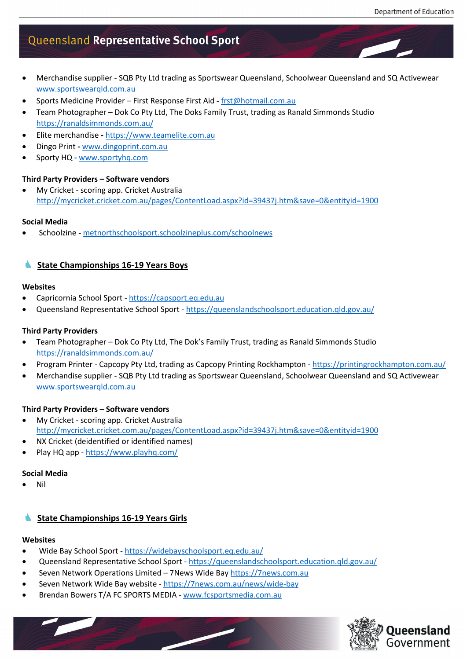- Merchandise supplier SQB Pty Ltd trading as Sportswear Queensland, Schoolwear Queensland and SQ Activewear [www.sportswearqld.com.au](http://www.sportswearqld.com.au/)
- Sports Medicine Provider First Response First Aid **-** [frst@hotmail.com.au](mailto:frst@hotmail.com.au)
- Team Photographer Dok Co Pty Ltd, The Doks Family Trust, trading as Ranald Simmonds Studio <https://ranaldsimmonds.com.au/>
- Elite merchandise **-** [https://www.teamelite.com.au](https://www.teamelite.com.au/)
- Dingo Print **-** [www.dingoprint.com.au](http://www.dingoprint.com.au/)
- Sporty HQ **-** www.sportyhq.com

#### **Third Party Providers – Software vendors**

• My Cricket - scoring app. Cricket Australia <http://mycricket.cricket.com.au/pages/ContentLoad.aspx?id=39437j.htm&save=0&entityid=1900>

#### **Social Media**

• Schoolzine **-** [metnorthschoolsport.schoolzineplus.com/schoolnews](https://metnorthschoolsport.schoolzineplus.com/schoolnews/archive)

## **State Championships 16-19 Years Boys**

#### **Websites**

- Capricornia School Sport [https://capsport.eq.edu.au](https://capsport.eq.edu.au/)
- Queensland Representative School Sport <https://queenslandschoolsport.education.qld.gov.au/>

#### **Third Party Providers**

- Team Photographer Dok Co Pty Ltd, The Dok's Family Trust, trading as Ranald Simmonds Studio <https://ranaldsimmonds.com.au/>
- Program Printer Capcopy Pty Ltd, trading as Capcopy Printing Rockhampton <https://printingrockhampton.com.au/>
- Merchandise supplier SQB Pty Ltd trading as Sportswear Queensland, Schoolwear Queensland and SQ Activewear [www.sportswearqld.com.au](http://www.sportswearqld.com.au/)

#### **Third Party Providers – Software vendors**

- My Cricket scoring app. Cricket Australia <http://mycricket.cricket.com.au/pages/ContentLoad.aspx?id=39437j.htm&save=0&entityid=1900>
- NX Cricket (deidentified or identified names)
- Play HQ app <https://www.playhq.com/>

#### **Social Media**

• Nil

#### **State Championships 16-19 Years Girls**

#### **Websites**

- Wide Bay School Sport <https://widebayschoolsport.eq.edu.au/>
- Queensland Representative School Sport <https://queenslandschoolsport.education.qld.gov.au/>
- Seven Network Operations Limited 7News Wide Bay [https://7news.com.au](https://7news.com.au/)
- Seven Network Wide Bay website [https://7news.com.au/news/wide-bay](https://aus01.safelinks.protection.outlook.com/?url=https%3A%2F%2F7news.com.au%2Fnews%2Fwide-bay&data=04%7C01%7CEHalliday%40Seven.com.au%7C763608fda34946c0640808d9e76b72f5%7Cb359291241554399b790752c894d2935%7C0%7C0%7C637795270942528815%7CUnknown%7CTWFpbGZsb3d8eyJWIjoiMC4wLjAwMDAiLCJQIjoiV2luMzIiLCJBTiI6Ik1haWwiLCJXVCI6Mn0%3D%7C3000&sdata=uCDcI9vZuaJfZhVs5QRCvNDsOpIeBUjKOssie8P7QLw%3D&reserved=0)
- Brendan Bowers T/A FC SPORTS MEDIA [www.fcsportsmedia.com.au](http://www.fcsportsmedia.com.au/)